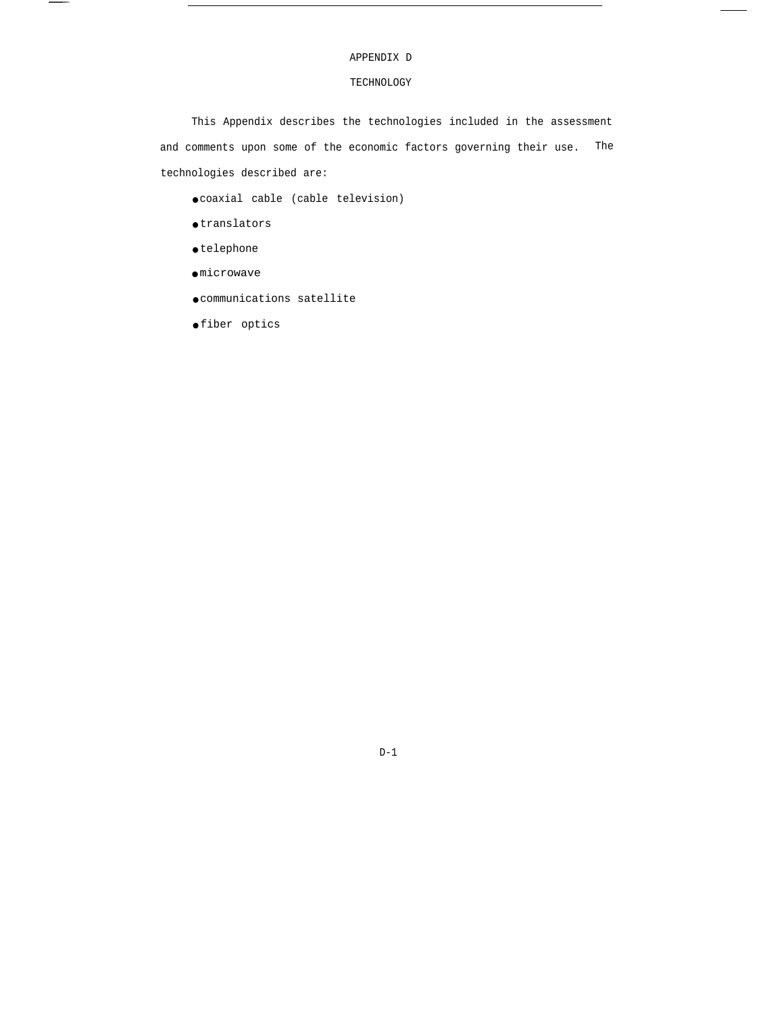# APPENDIX D

 $\overline{\phantom{a}}$ 

# TECHNOLOGY

This Appendix describes the technologies included in the assessment and comments upon some of the economic factors governing their use. The technologies described are:

● coaxial cable (cable television)

- $\bullet$  translators
- $\bullet$  telephone

 $\overline{\phantom{a}}$ 

- microwave
- communications satellite
- fiber optics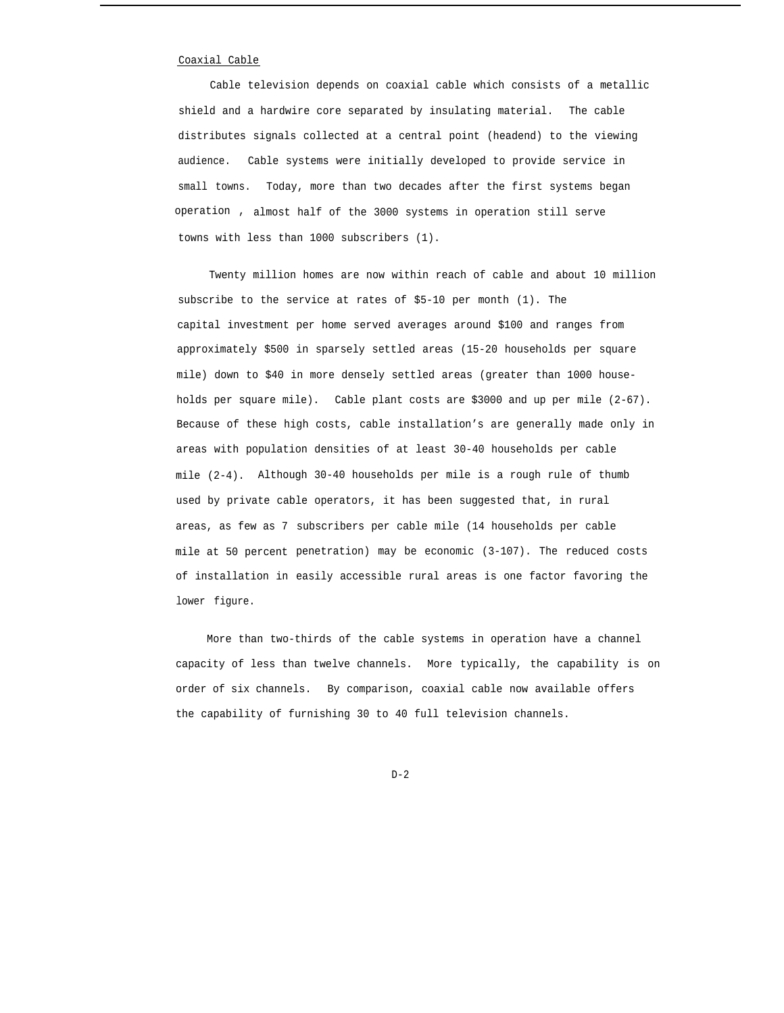## Coaxial Cable

Cable television depends on coaxial cable which consists of a metallic shield and a hardwire core separated by insulating material. The cable distributes signals collected at a central point (headend) to the viewing audience. Cable systems were initially developed to provide service in small towns. Today, more than two decades after the first systems began operation , almost half of the 3000 systems in operation still serve towns with less than 1000 subscribers (1).

Twenty million homes are now within reach of cable and about 10 million subscribe to the service at rates of \$5-10 per month (1). The capital investment per home served averages around \$100 and ranges from approximately \$500 in sparsely settled areas (15-20 households per square mile) down to \$40 in more densely settled areas (greater than 1000 households per square mile). Cable plant costs are \$3000 and up per mile (2-67). Because of these high costs, cable installation's are generally made only in areas with population densities of at least 30-40 households per cable mile (2-4). Although 30-40 households per mile is a rough rule of thumb used by private cable operators, it has been suggested that, in rural areas, as few as 7 subscribers per cable mile (14 households per cable mile at 50 percent penetration) may be economic (3-107). The reduced costs of installation in easily accessible rural areas is one factor favoring the lower figure.

More than two-thirds of the cable systems in operation have a channel capacity of less than twelve channels. More typically, the capability is on order of six channels. By comparison, coaxial cable now available offers the capability of furnishing 30 to 40 full television channels.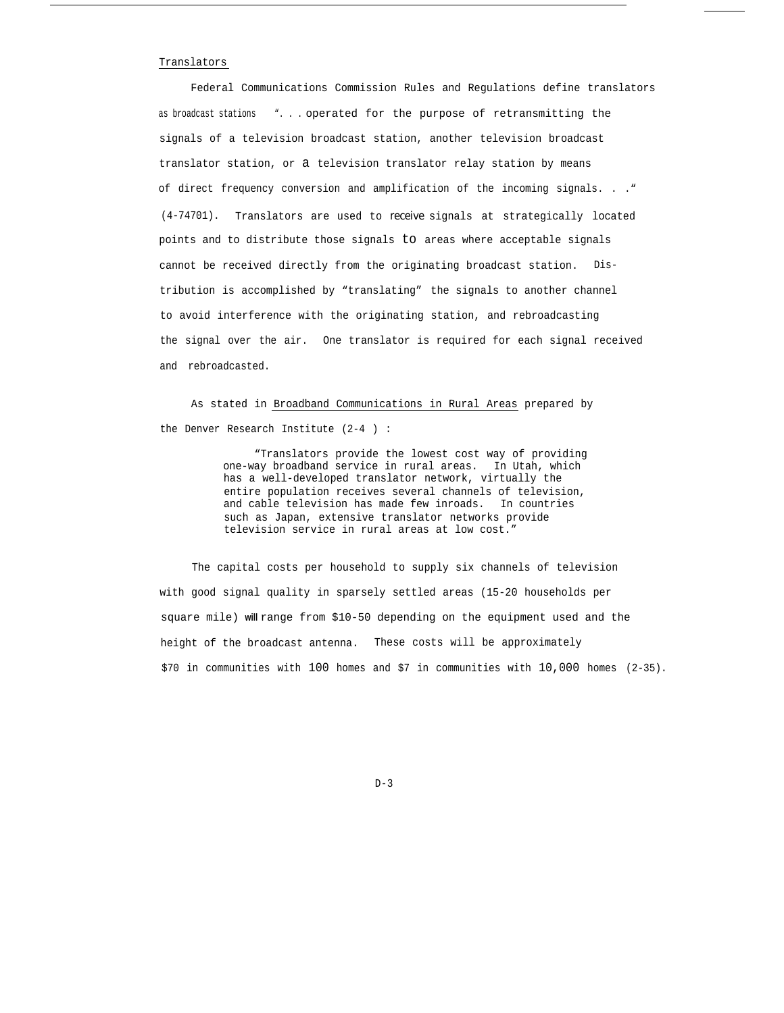#### Translators

Federal Communications Commission Rules and Regulations define translators as broadcast stations ". . . operated for the purpose of retransmitting the signals of a television broadcast station, another television broadcast translator station, or a television translator relay station by means of direct frequency conversion and amplification of the incoming signals. . ." (4-74701). Translators are used to *receive* signals at strategically located points and to distribute those signals to areas where acceptable signals cannot be received directly from the originating broadcast station. Distribution is accomplished by "translating" the signals to another channel to avoid interference with the originating station, and rebroadcasting the signal over the air. One translator is required for each signal received and rebroadcasted.

As stated in Broadband Communications in Rural Areas prepared by the Denver Research Institute (2-4 ) :

> "Translators provide the lowest cost way of providing one-way broadband service in rural areas. In Utah, which has a well-developed translator network, virtually the entire population receives several channels of television, and cable television has made few inroads. In countries such as Japan, extensive translator networks provide television service in rural areas at low cost."

The capital costs per household to supply six channels of television with good signal quality in sparsely settled areas (15-20 households per square mile) **will** range from \$10-50 depending on the equipment used and the height of the broadcast antenna. These costs will be approximately \$70 in communities with 100 homes and \$7 in communities with 10,000 homes (2-35).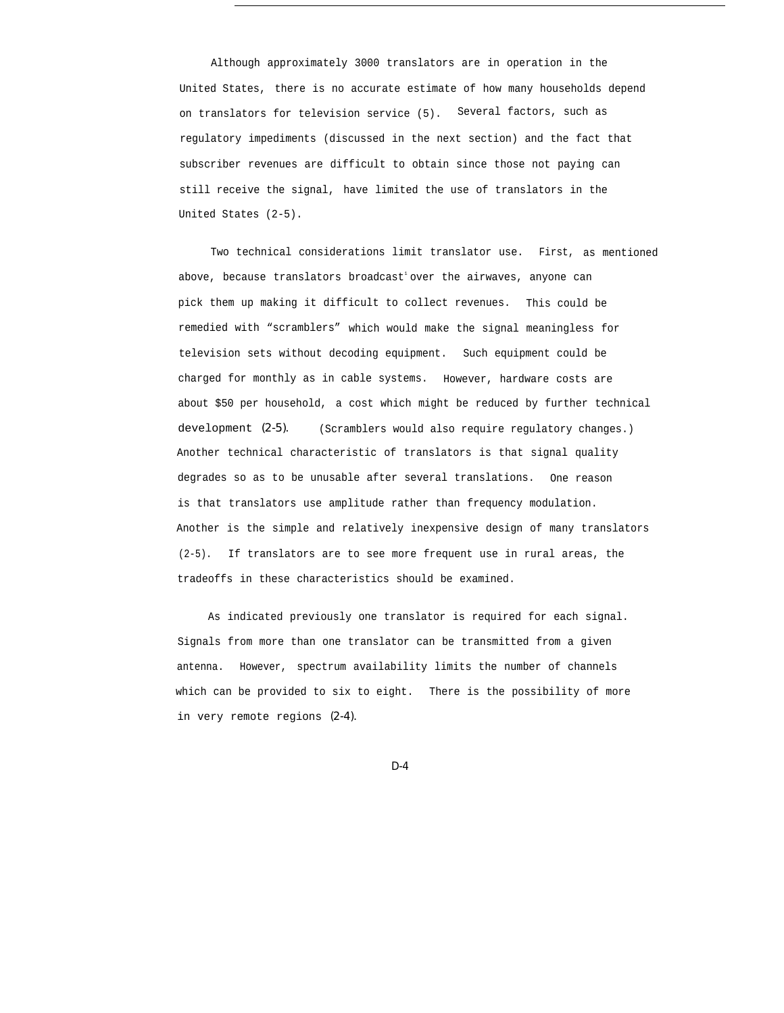Although approximately 3000 translators are in operation in the United States, there is no accurate estimate of how many households depend on translators for television service (5). Several factors, such as regulatory impediments (discussed in the next section) and the fact that subscriber revenues are difficult to obtain since those not paying can still receive the signal, have limited the use of translators in the United States (2-5).

Two technical considerations limit translator use. First, as mentioned above, because translators broadcast' over the airwaves, anyone can pick them up making it difficult to collect revenues. This could be remedied with "scramblers" which would make the signal meaningless for television sets without decoding equipment. Such equipment could be charged for monthly as in cable systems. However, hardware costs are about \$50 per household, a cost which might be reduced by further technical development *(2-5).* (Scramblers would also require regulatory changes.) Another technical characteristic of translators is that signal quality degrades so as to be unusable after several translations. One reason is that translators use amplitude rather than frequency modulation. Another is the simple and relatively inexpensive design of many translators (2-5). If translators are to see more frequent use in rural areas, the tradeoffs in these characteristics should be examined.

As indicated previously one translator is required for each signal. Signals from more than one translator can be transmitted from a given antenna. However, spectrum availability limits the number of channels which can be provided to six to eight. There is the possibility of more in very remote regions *(2-4).*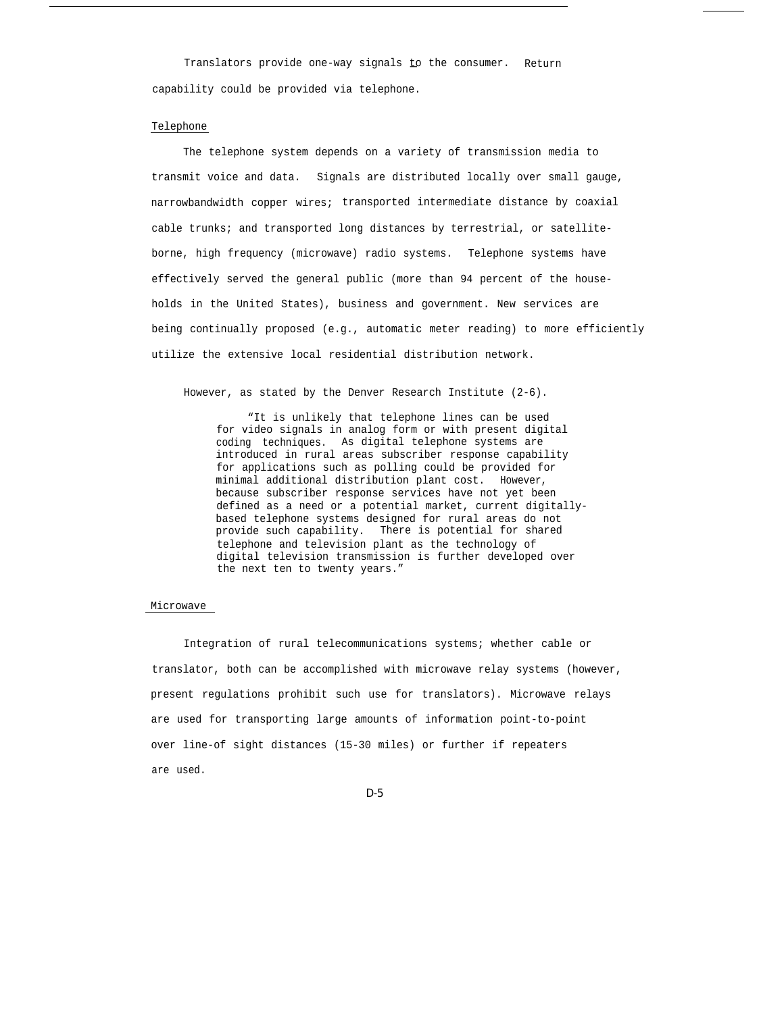Translators provide one-way signals to the consumer. Return capability could be provided via telephone.

#### Telephone

The telephone system depends on a variety of transmission media to transmit voice and data. Signals are distributed locally over small gauge, narrowbandwidth copper wires; transported intermediate distance by coaxial cable trunks; and transported long distances by terrestrial, or satelliteborne, high frequency (microwave) radio systems. Telephone systems have effectively served the general public (more than 94 percent of the households in the United States), business and government. New services are being continually proposed (e.g., automatic meter reading) to more efficiently utilize the extensive local residential distribution network.

However, as stated by the Denver Research Institute (2-6).

"It is unlikely that telephone lines can be used for video signals in analog form or with present digital coding techniques. As digital telephone systems are introduced in rural areas subscriber response capability for applications such as polling could be provided for minimal additional distribution plant cost. However, because subscriber response services have not yet been defined as a need or a potential market, current digitallybased telephone systems designed for rural areas do not provide such capability. There is potential for shared telephone and television plant as the technology of digital television transmission is further developed over the next ten to twenty years."

#### Microwave

Integration of rural telecommunications systems; whether cable or translator, both can be accomplished with microwave relay systems (however, present regulations prohibit such use for translators). Microwave relays are used for transporting large amounts of information point-to-point over line-of sight distances (15-30 miles) or further if repeaters are used.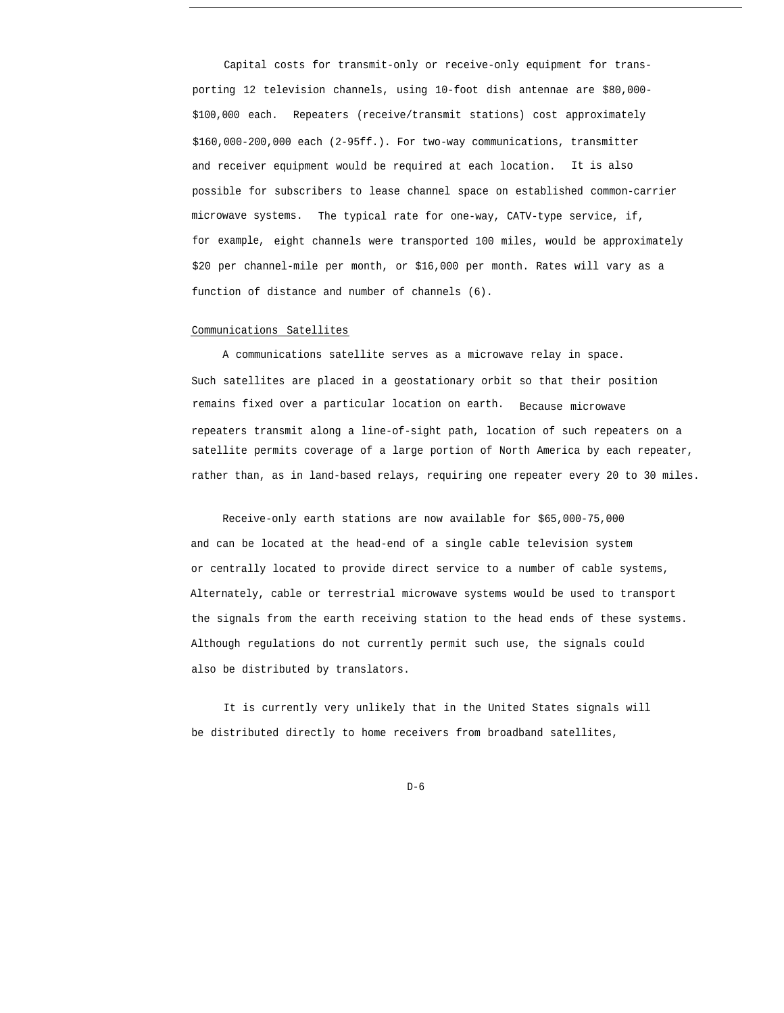Capital costs for transmit-only or receive-only equipment for transporting 12 television channels, using 10-foot dish antennae are \$80,000- \$100,000 each. Repeaters (receive/transmit stations) cost approximately \$160,000-200,000 each (2-95ff.). For two-way communications, transmitter and receiver equipment would be required at each location. It is also possible for subscribers to lease channel space on established common-carrier microwave systems. The typical rate for one-way, CATV-type service, if, for example, eight channels were transported 100 miles, would be approximately \$20 per channel-mile per month, or \$16,000 per month. Rates will vary as a function of distance and number of channels (6).

## Communications Satellites

A communications satellite serves as a microwave relay in space. Such satellites are placed in a geostationary orbit so that their position remains fixed over a particular location on earth. Because microwave repeaters transmit along a line-of-sight path, location of such repeaters on a satellite permits coverage of a large portion of North America by each repeater, rather than, as in land-based relays, requiring one repeater every 20 to 30 miles.

Receive-only earth stations are now available for \$65,000-75,000 and can be located at the head-end of a single cable television system or centrally located to provide direct service to a number of cable systems, Alternately, cable or terrestrial microwave systems would be used to transport the signals from the earth receiving station to the head ends of these systems. Although regulations do not currently permit such use, the signals could also be distributed by translators.

It is currently very unlikely that in the United States signals will be distributed directly to home receivers from broadband satellites,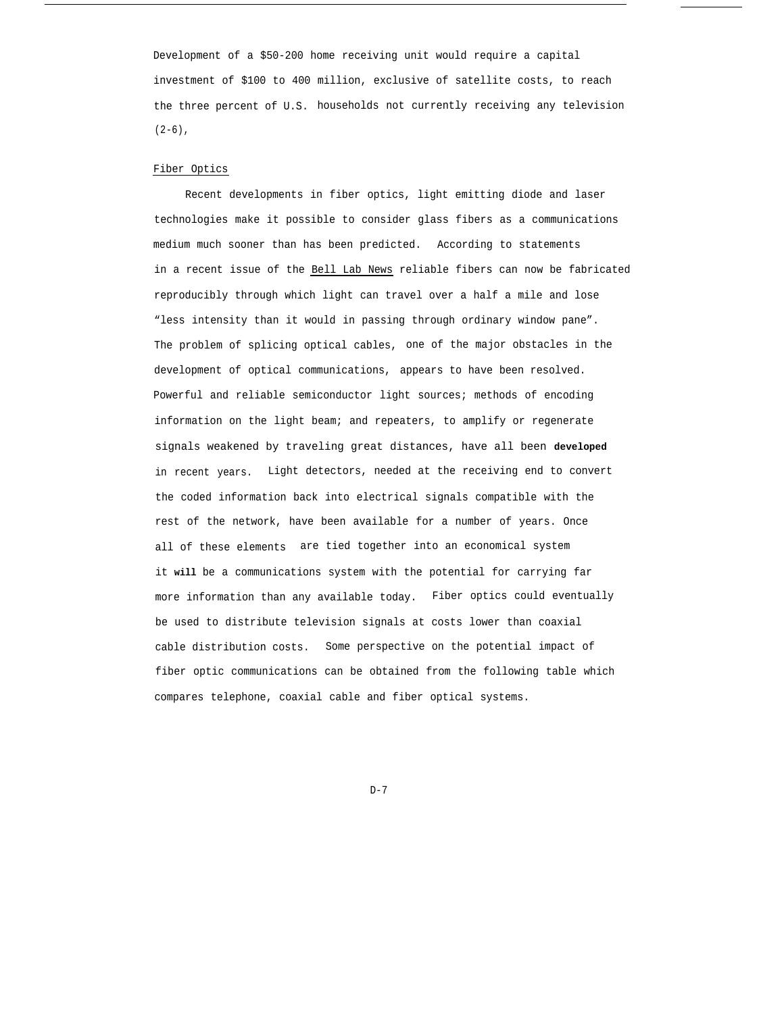Development of a \$50-200 home receiving unit would require a capital investment of \$100 to 400 million, exclusive of satellite costs, to reach the three percent of U.S. households not currently receiving any television  $(2-6)$ ,

## Fiber Optics

Recent developments in fiber optics, light emitting diode and laser technologies make it possible to consider glass fibers as a communications medium much sooner than has been predicted. According to statements in a recent issue of the Bell Lab News reliable fibers can now be fabricated reproducibly through which light can travel over a half a mile and lose "less intensity than it would in passing through ordinary window pane". The problem of splicing optical cables, one of the major obstacles in the development of optical communications, appears to have been resolved. Powerful and reliable semiconductor light sources; methods of encoding information on the light beam; and repeaters, to amplify or regenerate signals weakened by traveling great distances, have all been **developed** in recent years. Light detectors, needed at the receiving end to convert the coded information back into electrical signals compatible with the rest of the network, have been available for a number of years. Once all of these elements are tied together into an economical system it **will** be a communications system with the potential for carrying far more information than any available today. Fiber optics could eventually be used to distribute television signals at costs lower than coaxial cable distribution costs. Some perspective on the potential impact of fiber optic communications can be obtained from the following table which compares telephone, coaxial cable and fiber optical systems.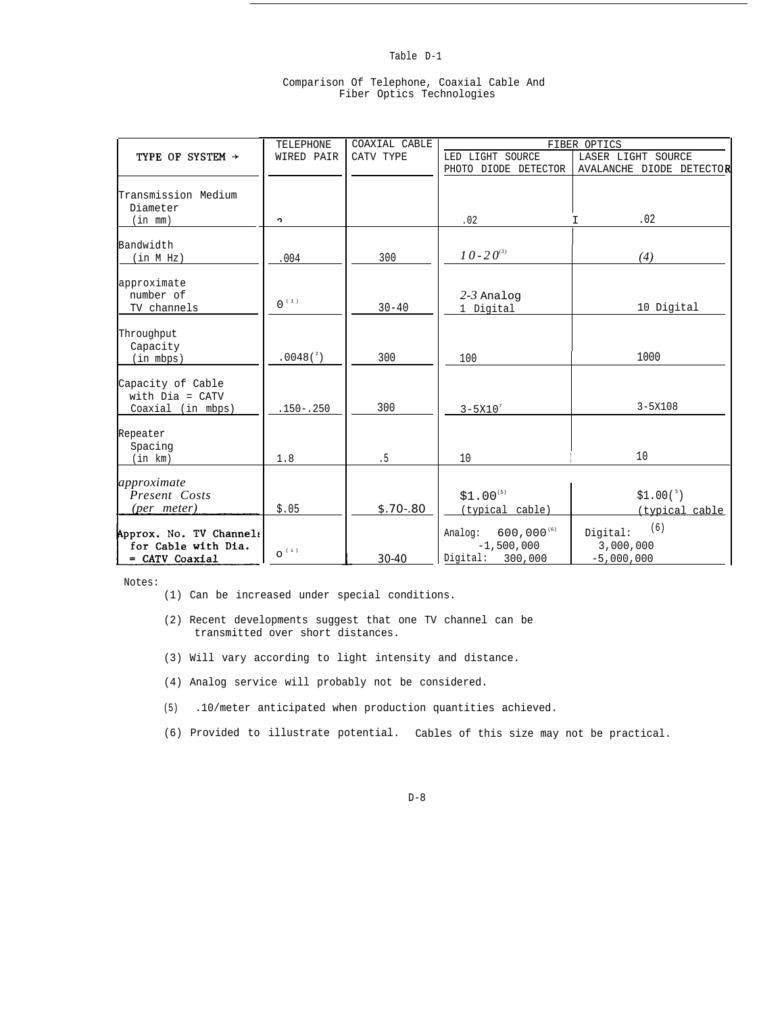# Table D-1

|  | Comparison Of Telephone, Coaxial Cable And |  |  |
|--|--------------------------------------------|--|--|
|  | Fiber Optics Technologies                  |  |  |

|                                                             | <b>TELEPHONE</b>     | COAXIAL CABLE | FIBER OPTICS                               |                                                |  |  |
|-------------------------------------------------------------|----------------------|---------------|--------------------------------------------|------------------------------------------------|--|--|
| TYPE OF SYSTEM $\rightarrow$                                | WIRED PAIR           | CATV TYPE     | LED LIGHT SOURCE                           | LASER LIGHT SOURCE                             |  |  |
|                                                             |                      |               | PHOTO DIODE DETECTOR                       | AVALANCHE DIODE DETECTOR                       |  |  |
| Transmission Medium<br>Diameter                             |                      |               |                                            |                                                |  |  |
| (in m <sub>m</sub> )                                        | ŋ.                   |               | .02                                        | .02                                            |  |  |
| Bandwidth                                                   |                      |               |                                            |                                                |  |  |
| (in M Hz)                                                   | 004                  | 300           | $10 - 20^{(3)}$                            | (4)                                            |  |  |
| approximate<br>number of<br>TV channels                     | $0^{(1)}$            | $30 - 40$     | $2-3$ Analog<br>1 Digital                  | 10 Digital                                     |  |  |
| Throughput<br>Capacity<br>(in mbps)                         | $.0048(^{2})$        | 300           | 100                                        | 1000                                           |  |  |
| Capacity of Cable<br>with $Dia = CATV$<br>Coaxial (in mbps) | $.150 - .250$        | 300           | $3 - 5X10^{7}$                             | $3 - 5X108$                                    |  |  |
| Repeater<br>Spacing<br>(in km)                              | 1.8                  | .5            | 10                                         | 10                                             |  |  |
| approximate<br>Present Costs<br>(per meter)                 | \$.05                | $S.70 - .80$  | $$1.00^{(5)}$<br>(typical cable)           | $$1.00(^{5})$                                  |  |  |
| Approx. No. TV Channels<br>for Cable with Dia.              | $\mathsf{O}^{(\pm)}$ |               | $600,000^{(6)}$<br>Analog:<br>$-1,500,000$ | (typical cable<br>(6)<br>Digital:<br>3,000,000 |  |  |
| = CATV Coaxial                                              |                      | 30-40         | Digital: 300,000                           | $-5,000,000$                                   |  |  |

Notes:

- (1) Can be increased under special conditions.
- (2) Recent developments suggest that one TV channel can be transmitted over short distances.
- (3) Will vary according to light intensity and distance.
- (4) Analog service will probably not be considered.
- (5) .10/meter anticipated when production quantities achieved.
- (6) Provided to illustrate potential. Cables of this size may not be practical.